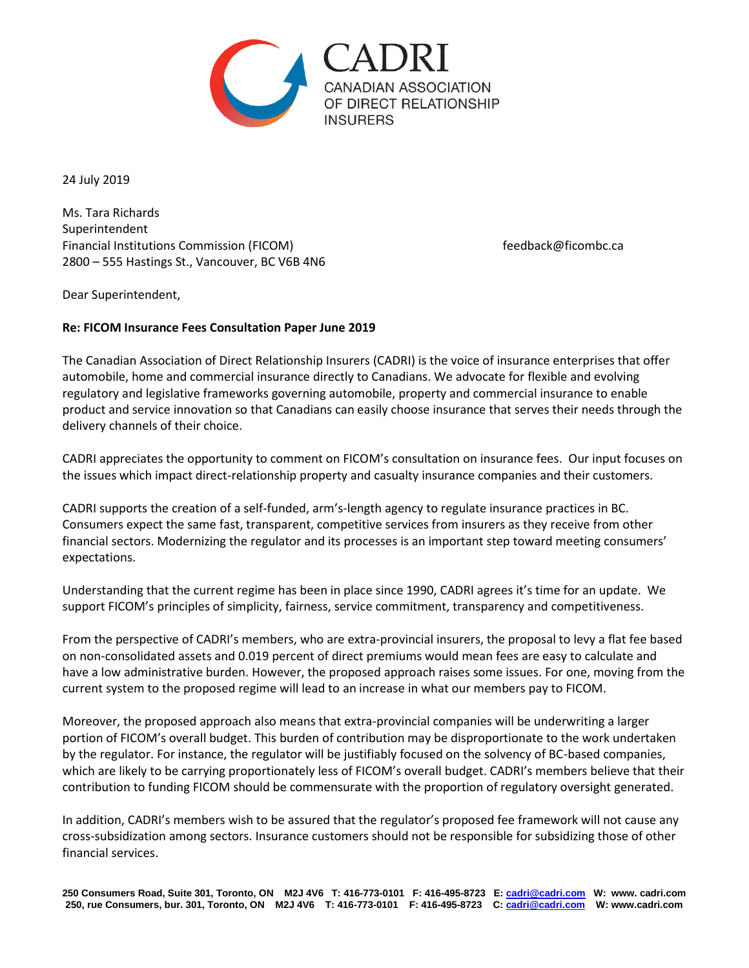

24 July 2019

Ms. Tara Richards Superintendent Financial Institutions Commission (FICOM) discussed to the extendio of the feedback@ficombc.ca 2800 – 555 Hastings St., Vancouver, BC V6B 4N6

Dear Superintendent,

## **Re: FICOM Insurance Fees Consultation Paper June 2019**

The Canadian Association of Direct Relationship Insurers (CADRI) is the voice of insurance enterprises that offer automobile, home and commercial insurance directly to Canadians. We advocate for flexible and evolving regulatory and legislative frameworks governing automobile, property and commercial insurance to enable product and service innovation so that Canadians can easily choose insurance that serves their needs through the delivery channels of their choice.

CADRI appreciates the opportunity to comment on FICOM's consultation on insurance fees. Our input focuses on the issues which impact direct-relationship property and casualty insurance companies and their customers.

CADRI supports the creation of a self-funded, arm's-length agency to regulate insurance practices in BC. Consumers expect the same fast, transparent, competitive services from insurers as they receive from other financial sectors. Modernizing the regulator and its processes is an important step toward meeting consumers' expectations.

Understanding that the current regime has been in place since 1990, CADRI agrees it's time for an update. We support FICOM's principles of simplicity, fairness, service commitment, transparency and competitiveness.

From the perspective of CADRI's members, who are extra-provincial insurers, the proposal to levy a flat fee based on non-consolidated assets and 0.019 percent of direct premiums would mean fees are easy to calculate and have a low administrative burden. However, the proposed approach raises some issues. For one, moving from the current system to the proposed regime will lead to an increase in what our members pay to FICOM.

Moreover, the proposed approach also means that extra-provincial companies will be underwriting a larger portion of FICOM's overall budget. This burden of contribution may be disproportionate to the work undertaken by the regulator. For instance, the regulator will be justifiably focused on the solvency of BC-based companies, which are likely to be carrying proportionately less of FICOM's overall budget. CADRI's members believe that their contribution to funding FICOM should be commensurate with the proportion of regulatory oversight generated.

In addition, CADRI's members wish to be assured that the regulator's proposed fee framework will not cause any cross-subsidization among sectors. Insurance customers should not be responsible for subsidizing those of other financial services.